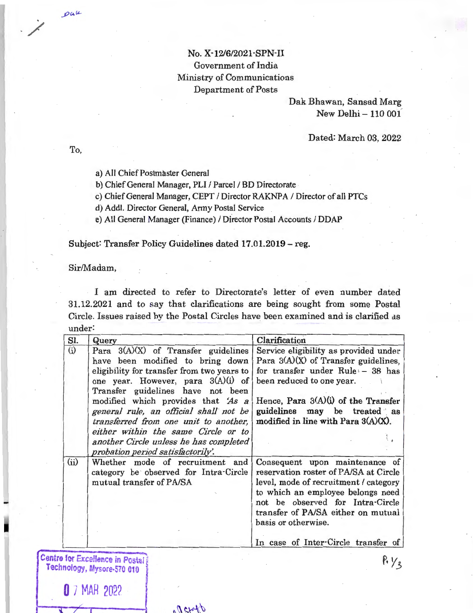## No. X-12/6/2021-SPN-II Government of India Ministry of Communications Department of Posts

Dak Bhawan, Sansad Marg New Delhi - 110 001

## Dated: March 03, 2022

To,

pak

a) All Chief Postmaster General

b) Chief General Manager, PLI / Parcel / BD Directorate

c) Chief General Manager, CEPT / Director RAKNPA / Director of all PTCs

d) Addi. Director General, Army Postal Service

e) All General Manager (Finance) / Director Postal Accounts / DDAP

Subject: Transfer Policy Guidelines dated 17.01.2019 - reg.

Sir/Madam,

**0** 7 MAR 2022

I am directed to refer to Directorate's letter of even number dated 31.12.2021 and to say that clarifications are being sought from some Postal Circle. Issues raised by the Postal Circles have been examined and is clarified as under:

| SI.  | Query                                                                                                              | Clarification                                                                                                                                                                                                                                          |
|------|--------------------------------------------------------------------------------------------------------------------|--------------------------------------------------------------------------------------------------------------------------------------------------------------------------------------------------------------------------------------------------------|
| (i)  | Para $3(A)(X)$ of Transfer guidelines<br>have been modified to bring down                                          | Service eligibility as provided under<br>Para $3(A)(X)$ of Transfer guidelines,                                                                                                                                                                        |
|      | eligibility for transfer from two years to<br>one year. However, para $3(A)(i)$ of                                 | for transfer under Rule - 38 has<br>been reduced to one year.                                                                                                                                                                                          |
|      | Transfer guidelines have not been<br>modified which provides that 'As a                                            | Hence, Para $3(A)(i)$ of the Transfer                                                                                                                                                                                                                  |
|      | general rule, an official shall not be<br>transferred from one unit to another,                                    | guidelines may be treated as<br>modified in line with Para $3(A)(X)$ .                                                                                                                                                                                 |
|      | either within the same Circle or to<br>another Circle unless he has completed<br>probation period satisfactorily'. |                                                                                                                                                                                                                                                        |
| (ii) | Whether mode of recruitment and<br>category be observed for Intra-Circle<br>mutual transfer of PA/SA               | Consequent upon maintenance of<br>reservation roster of PA/SA at Circle<br>level, mode of recruitment / category<br>to which an employee belongs need<br>not be observed for Intra-Circle<br>transfer of PA/SA either on mutual<br>basis or otherwise. |
|      |                                                                                                                    | In case of Inter-Circle transfer of                                                                                                                                                                                                                    |
|      | Centre for Excellence in Postal<br>Technology, Mysore-570 010                                                      |                                                                                                                                                                                                                                                        |

"Detatb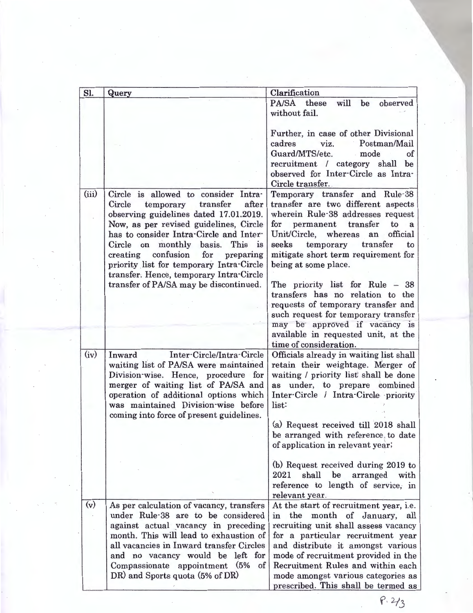| Sl.   | Query                                                                             | Clarification                                                             |
|-------|-----------------------------------------------------------------------------------|---------------------------------------------------------------------------|
|       |                                                                                   | <b>PA/SA</b><br>these<br>will<br>be<br>observed                           |
|       |                                                                                   | without fail.                                                             |
|       |                                                                                   |                                                                           |
|       |                                                                                   | Further, in case of other Divisional                                      |
|       |                                                                                   | Postman/Mail<br>cadres<br>viz.<br>Guard/MTS/etc.                          |
|       |                                                                                   | mode<br>of<br>$\mathcal{L}_{\mathcal{A}}$<br>be                           |
|       |                                                                                   | recruitment / category shall<br>observed for Inter-Circle as Intra-       |
|       |                                                                                   | Circle transfer.                                                          |
| (iii) | Circle is allowed to consider Intra-                                              | Temporary transfer and Rule-38                                            |
|       | transfer<br>after<br>Circle<br>temporary                                          | transfer are two different aspects                                        |
|       | observing guidelines dated 17.01.2019.                                            | wherein Rule-38 addresses request                                         |
|       | Now, as per revised guidelines, Circle                                            | permanent transfer<br>for<br>to<br>a                                      |
|       | has to consider Intra-Circle and Inter-                                           | Unit/Circle, whereas<br>official<br>an                                    |
|       | Circle on monthly<br>basis.<br>This is                                            | seeks<br>temporary transfer<br>to                                         |
|       | confusion<br>for<br>creating<br>preparing                                         | mitigate short term requirement for                                       |
|       | priority list for temporary Intra-Circle                                          | being at some place.                                                      |
|       | transfer. Hence, temporary Intra-Circle<br>transfer of PA/SA may be discontinued. | The priority list for Rule $-38$                                          |
|       |                                                                                   | transfers has no relation to the                                          |
|       |                                                                                   | requests of temporary transfer and                                        |
|       |                                                                                   | such request for temporary transfer                                       |
|       |                                                                                   | may be approved if vacancy is                                             |
|       |                                                                                   | available in requested unit, at the                                       |
|       |                                                                                   | time of consideration.                                                    |
| (iv)  | Inter-Circle/Intra-Circle<br>Inward                                               | Officials already in waiting list shall                                   |
|       | waiting list of PA/SA were maintained                                             | retain their weightage. Merger of                                         |
|       | Division-wise. Hence, procedure for                                               | waiting / priority list shall be done                                     |
|       | merger of waiting list of PA/SA and                                               | as under, to prepare combined                                             |
|       | operation of additional options which<br>was maintained Division-wise before      | Inter-Circle / Intra-Circle priority<br>list:                             |
|       | coming into force of present guidelines.                                          |                                                                           |
|       |                                                                                   | (a) Request received till 2018 shall                                      |
|       |                                                                                   | be arranged with reference, to date                                       |
|       |                                                                                   | of application in relevant year;                                          |
|       |                                                                                   |                                                                           |
|       |                                                                                   | (b) Request received during 2019 to                                       |
|       |                                                                                   | 2021<br>shall<br>be<br>arranged<br>with                                   |
|       |                                                                                   | reference to length of service, in                                        |
|       |                                                                                   | relevant year.                                                            |
| (v)   | As per calculation of vacancy, transfers                                          | At the start of recruitment year, i.e.                                    |
|       | under Rule-38 are to be considered                                                | the month of January, all<br>in                                           |
|       | against actual vacancy in preceding<br>month. This will lead to exhaustion of     | recruiting unit shall assess vacancy<br>for a particular recruitment year |
|       | all vacancies in Inward transfer Circles                                          | and distribute it amongst various                                         |
|       | and no vacancy would be left for                                                  | mode of recruitment provided in the                                       |
|       | of<br>Compassionate appointment<br>(5%                                            | Recruitment Rules and within each                                         |
|       | DR) and Sports quota (5% of DR)                                                   | mode amongst various categories as                                        |
|       |                                                                                   | prescribed. This shall be termed as                                       |

 $P.213$